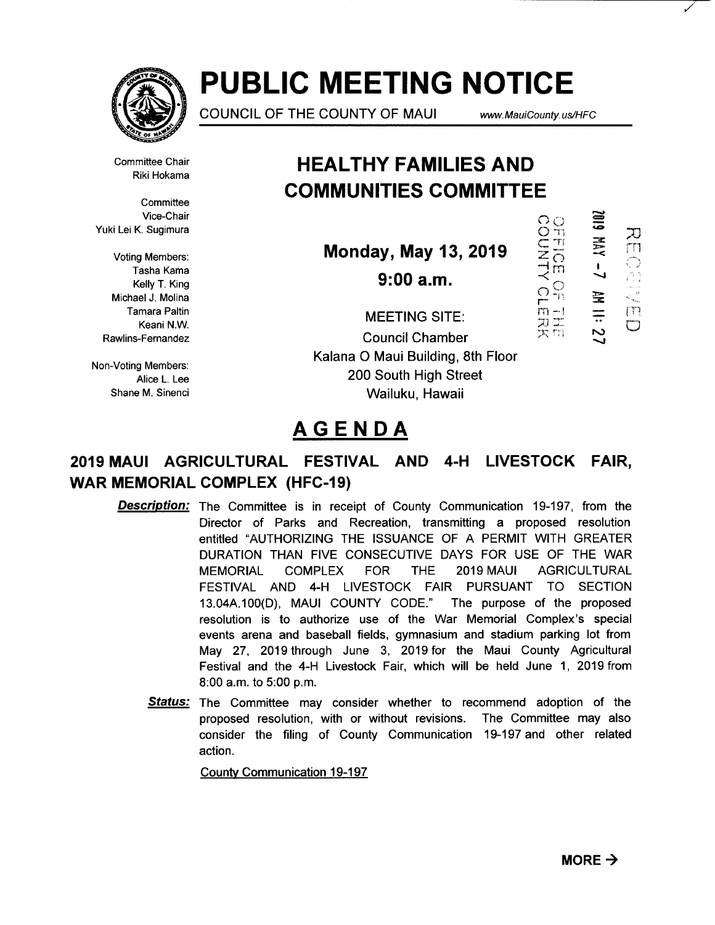

# **PUBLIC MEETING NOTICE**

COUNCIL OF THE COUNTY OF MAUl www.MauiCounty. us/HFC

 $\circ$ 

NTMUS

 $\frac{1}{2}$ 

 $\sum_{i=1}^{n}$ ガゴ<br>スロ

Committee Chair Riki Hokama

**Committee** Vice-Chair Yuki Lei K. Sugimura

Voting Members: Tasha Kama Kelly T. King Michael J. Molina Tamara Paltin Keani N.W. Rawlins-Fernandez

Non-Voting Members: Alice L. Lee Shane M. Sinenci

# **HEAL THY FAMILIES AND COMMUNITIES COMMITTEE**

**Monday, May 13, 2019** 

**9:00a.m.** 

m 70 m  $\bigcirc$ gen<br>S 宝<br>三 rn  $\Box$ 

MEETING SITE: Council Chamber Kalana 0 Maui Building, 8th Floor 200 South High Street Wailuku, Hawaii

# **AGENDA**

# **2019 MAUl AGRICULTURAL FESTIVAL AND 4-H LIVESTOCK FAIR, WAR MEMORIAL COMPLEX (HFC-19)**

- **Description:** The Committee is in receipt of County Communication 19-197, from the Director of Parks and Recreation, transmitting a proposed resolution entitled "AUTHORIZING THE ISSUANCE OF A PERMIT WITH GREATER DURATION THAN FIVE CONSECUTIVE DAYS FOR USE OF THE WAR MEMORIAL COMPLEX FOR THE 2019 MAUl AGRICULTURAL FESTIVAL AND 4-H LIVESTOCK FAIR PURSUANT TO SECTION 13.04A.100(D), MAUI COUNTY CODE." The purpose of the proposed resolution is to authorize use of the War Memorial Complex's special events arena and baseball fields, gymnasium and stadium parking lot from May 27, 2019 through June 3, 2019 for the Maui County Agricultural Festival and the 4-H Livestock Fair, which will be held June 1, 2019 from 8:00 a.m. to 5:00 p.m.
	- **Status:** The Committee may consider whether to recommend adoption of the proposed resolution, with or without revisions. The Committee may also consider the filing of County Communication 19-197 and other related action.

County Communication 19-197